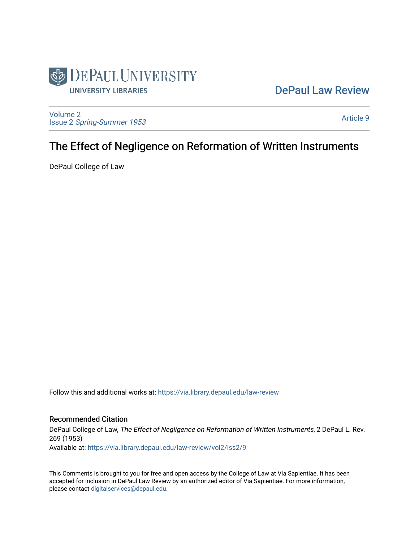

## [DePaul Law Review](https://via.library.depaul.edu/law-review)

[Volume 2](https://via.library.depaul.edu/law-review/vol2) Issue 2 [Spring-Summer 1953](https://via.library.depaul.edu/law-review/vol2/iss2) 

[Article 9](https://via.library.depaul.edu/law-review/vol2/iss2/9) 

# The Effect of Negligence on Reformation of Written Instruments

DePaul College of Law

Follow this and additional works at: [https://via.library.depaul.edu/law-review](https://via.library.depaul.edu/law-review?utm_source=via.library.depaul.edu%2Flaw-review%2Fvol2%2Fiss2%2F9&utm_medium=PDF&utm_campaign=PDFCoverPages) 

### Recommended Citation

DePaul College of Law, The Effect of Negligence on Reformation of Written Instruments, 2 DePaul L. Rev. 269 (1953) Available at: [https://via.library.depaul.edu/law-review/vol2/iss2/9](https://via.library.depaul.edu/law-review/vol2/iss2/9?utm_source=via.library.depaul.edu%2Flaw-review%2Fvol2%2Fiss2%2F9&utm_medium=PDF&utm_campaign=PDFCoverPages) 

This Comments is brought to you for free and open access by the College of Law at Via Sapientiae. It has been accepted for inclusion in DePaul Law Review by an authorized editor of Via Sapientiae. For more information, please contact [digitalservices@depaul.edu.](mailto:digitalservices@depaul.edu)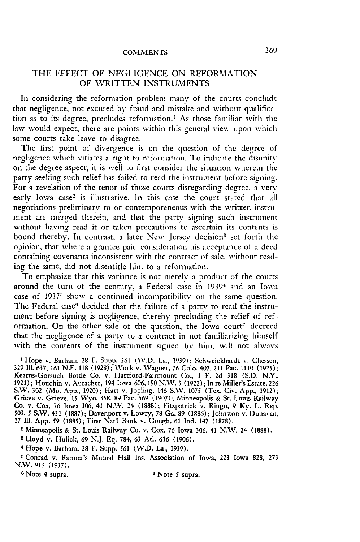#### **COMMENTS**

#### THE EFFECT OF NEGLIGENCE ON REFORMATION OF WRITTEN INSTRUMENTS

In considering the reformation problem many of the courts conclude that negligence, not excused **by** fraud and mistake and without qualification as to its degree, precludes reformation.' As those familiar with the law would expect, there are points within this general view upon which some courts take leave to disagree.

The first point of divergence is on the question of the degree of negligence which vitiates a right to reformation. To indicate the disunityon the degree aspect, it is well to first consider the situation wherein the party seeking such relief has failed to read the instrument before signing. For a revelation of the tenor of those courts disregarding degree, a very early Iowa case<sup>2</sup> is illustrative. In this case the court stated that all negotiations preliminary to or contemporaneous with the written instrument are merged therein, and that the party signing such instrument without having read it or taken precautions to ascertain its contents is bound thereby. In contrast, a later New Jersey decision<sup>3</sup> set forth the opinion, that where a grantee paid consideration his acceptance of a deed containing covenants inconsistent with the contract of sale, without reading the same, did not disentitle him to a reformation.

To emphasize that this variance is not merely a product of the courts around the turn of the century, a Federal case in **19391** and an Iowa case of **19375** show a continued incompatibility on the same question. The Federal case<sup>6</sup> decided that the failure of a party to read the instrument before signing is negligence, thereby precluding the relief of reformation. On the other side of the question, the Iowa court7 decreed that the negligence of a party to a contract in not familiarizing himself with the contents of the instrument signed by him, will not always

**<sup>1</sup>**Hope v. Barham, **28** F. Supp. **561** (V.D. La., **1939);** Schweickhardt v. Chessen, **329 Il1. 637, 161 N.E. 118 (1928);** Work v. Wagner, **76** Colo. 407, **231** Pac.. **1110 (1925);** Kearns-Gorsuch Bottle Co. v. Hartford-Fairmount Co., **1** F. **2d 318 (S.D.** N.Y.. **1921);** Houchin v. Auracher, 194 Iowa **606,190 N.'W. 3 (1922);** In **re** Miller's Estate, **226** S.W. **302** (Mo. **App., 1920);** Hart v. Jopling, 146 S.W. **1075** (Tex. Civ. **App., 1912);** Grieve v. Grieve, **15** Wyo. 358, **89** Pac. **569 (1907);** Minneapolis **&** St. Louis Railway Co. v. Cox, **76** Iowa **306,** 41 N.W. 24 **(1888);** Fitzpatrick v. Ringo, **9 Ky.** L. Rep. **503,** *5* S.W. 431 **(1887);** Davenport v. Lowry, **78** Ga. **89 (1886);** Johnston v. Dunavan, **17 Il1. App. 59** (1885); First Nat'l Bank v. Gough, **61** Ind. 147 **(1878).**

**<sup>2</sup>**Minneapolis **&** St. Louis Railway Co. v. Cox, **76** Iowa **306,** 41 N.W. 24 **(1888).**

**3** Lloyd v. Hulick, **69 N.J. Eq.** 784, **63 Atl. 616 (1906).**

4 Hope v. **Barham, 28** F. Supp. **561** (W.D. La., **1939).**

**5** Conrad v. Farmer's Mutual Hail Ins. Association **of Iowa, 223** Iowa **828, 273** N.W. **913 (1937).**

**6** Note 4 supra. **7** Note **5** supra.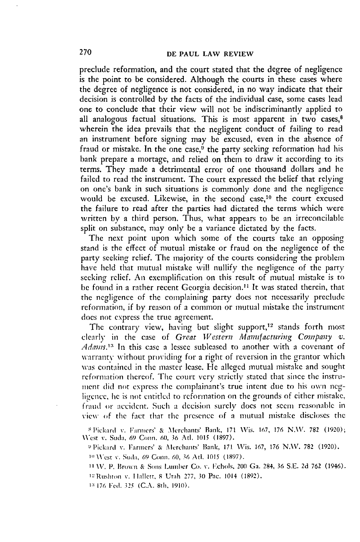preclude reformation, and the court stated that the degree of negligence is the point to be considered. Although the courts in these cases where the degree of negligence is not considered, in no way indicate that their decision is controlled **by** the facts of the individual case, some cases lead one to conclude that their view will not be indiscriminantly applied to all analogous factual situations. This is most apparent in two cases, $8$ wherein the idea prevails that the negligent conduct of failing to read an instrument before signing may be excused, even in the absence of fraud or mistake. In the one case,<sup> $9$ </sup> the party seeking reformation had his bank prepare a mortage, and relied on them to draw it according to its terms. They made a detrimental error of one thousand dollars and he failed to read the instrument. The court expressed the belief that relying on one's bank in such situations is commonly done and the negligence would be excused. Likewise, in the second case,10 the court excused the failure to read after the parties had dictated the terms which were written by a third person. Thus, what appears to be an irreconcilable split on substance, may only be a variance dictated by the facts.

The next point upon which some of the courts take an opposing stand is the effect of mutual mistake or fraud on the negligence of the party seeking relief. The majority of the courts considering the problem have held that mutual mistake will nullify the negligence of the party seeking relief. An excmplification on this result of mutual mistake is to be found in a rather recent Georgia decision.<sup>11</sup> It was stated therein, that the negligence of the complaining party does not necessarily preclude reformation, if by reason of a common or mutual mistake the instrument does not express the true agreement.

The contrary view, having but slight support,<sup>12</sup> stands forth most clearly in the case of *Great Western Manufacturing Company v.* Adams.<sup>13</sup> In this case a lessee subleased to another with a covenant of warranty without providing for a right of reversion in the grantor which **Was** contained in the master lease. He alleged mutual mistake and sought reformation thereof. The court very strictly stated that since the instrument did not express the complainant's true intent due to his own negligence, he is not entitled to reformation on the grounds of either mistake, fratid or accident. **Such** a dccision surely does not seem reasonable in view of the fact that the presence of a mutual mistake discloses the

**8** 'ickard **v.** Farmers' & Merchants' Bank, **171** Vis. 167, 176 **N.\V. 782 (1920);** \Vest **%.** Suda, **69** Comn. **60, 36** Atl. 1015 **(1897).**

<sup>9</sup> Pickard *v. Farmers' & Merchants' Bank, 171 Wis. 167, 176 N.W. 782 (1920).* 

**1D** West **%-.** Sod;,, 69 Conn. **60,** 36 Afl. 1015 **(1897).**

**1** \V. **P.** Brown & Sons Lumber **Co. %-.** I.chols, 200 Ga. 284, 36 **S.E. 2d** 762 (1946).

**'-'Rushtoll v. I** iallett, **8** Utah **277, 30** Pac. 1014 **(1892).**

**13** 176 **Fed. 325 (C.A.** 8th, **1910).**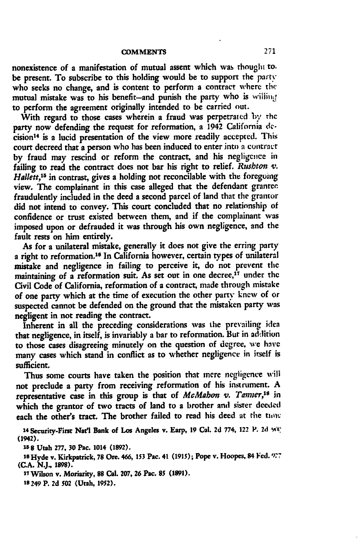nonexistence of a manifestation of mutual assent which was rhought to, be present. To subscribe to this holding would be to support the party who seeks no change, and is content to perform a contract where the mutual mistake was to his benefit-and punish the party who is willing to perform the agreement originally intended to be carried out.

With regard to those cases wherein a fraud was perpetrated *by* **rhc** party now defending the request for reformation, a 1942 California **de**cision<sup>14</sup> is a lucid presentation of the view more readily accepted. This court decreed that a person who has been induced to enter into a contract by fraud may rescind or reform the contract, and his negligence in failing to read the contract does not bar his right to relief. *Rushton v. Hallett,"5* in contrast, gives a holding not reconcilable with the foregoing view. The complainant in this case alleged that the defendant grantee fraudulently included in the deed a second parcel of land that the grantor did not intend to convey. This court concluded that no relationship of confidence or trust existed between them, and if the complainant was imposed upon or defrauded it was through his own negligence, and the fault rests on him entirely.

As for a unilateral mistake, generally it does not give the erring party a right to reformation.<sup>16</sup> In California however, certain types of unilateral mistake and negligence in failing to perceive it, do not prevent the maintaining of a reformation suit. As set out in one decree,<sup>17</sup> under the Civil Code of California, reformation of a contract, made through mistake of one party which at the time of execution the other party knew of or suspected cannot **be** defended on the ground that the mistaken party was negligent in not reading the contract.

Inherent in all the preceding considerations was the prevailing idea that negligence, in itself, is invariably a bar to reformation. But in addition to those cases disagreeing minutely on the question of degree, **we hivc** many cases which stand in conflict as to whether negligence in itself is sufficient.

Thus some courts have taken the position that mere negligence will not preclude a party from receiving reformation of his instrument. A representative case in this group is that of *McMabon v. Tanner*,<sup>18</sup> in which the grantor of two tracts of land to a brother and sister deeded each the other's tract. The brother failed to read his deed at the **tio:**

14 Security-First Nat'l Bank of Los Angeles v. Earp, 19 Cal. 2d 774, 122 P. 2d 908) **(1942).**

**15 8 Utah 277, 30 Pac. 1014 (1892).**

**10 Hyde v. Kirkpatrick, 78 Ore.** *466, 153* **Pac. 41 (1915); Pope v. Hoopes, 84 Fed. "'7 (C.A. NJ., 1898).**

**<sup>17</sup>**Wilson v. **Moriarity, 88 Cal. 207, 26 Pac. 85 (1891).**

**Is 249 P. 2d 502 (Utah, 1952).**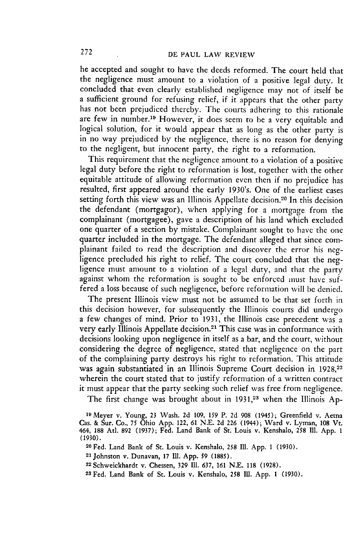he accepted and sought to have the deeds reformed. The court held that the negligence must amount to a violation of a positive legal duty. It concluded that even clearly established negligence may not of itself be a sufficient ground for refusing relief, if it appears that the other party has not been prejudiced thereby. The courts adhering to this rationale are few in number.<sup>19</sup> However, it does seem to be a very equitable and logical solution, for it would appear that as long as the other party is in no way prejudiced by the negligence, there is no reason for denying to the negligent, but innocent party, the right to a reformation.

This requirement that the negligence amount to a violation of a positive legal duty before the right to reformation is lost, together with the other equitable attitude of allowing reformation even then if no prejudice has resulted, first appeared around the early 1930's. One of the earliest cases setting forth this view was an Illinois Appellate decision.<sup>20</sup> In this decision the defendant (mortgagor), when applying for a mortgage from the complainant (mortgagee), gave a description of his land which excluded one quarter of a section by mistake. Complainant sought to have the one quarter included in the mortgage. The defendant alleged that since complainant failed to read the description and discover the error his **neg**ligence precluded his right to relief. The court concluded that the negligence must amount to a violation of a legal duty, and that the party against whom the reformation is sought to be enforced must have suffered a loss because of such negligence, before reformation will **be** denied.

The present Illinois view must not be assumed to be that set forth in this decision however, for subsequently the Illinois courts did undergo a few changes of mind. Prior to **1931,** the Illinois case precedent was a very early Illinois Appellate decision.<sup>21</sup> This case was in conformance with decisions looking upon negligence in itself as a bar, and the court, without considering the degree of negligence, stated that negligence on the part of the complaining party destroys his right to reformation. This attitude was again substantiated in an Illinois Supreme Court decision in **1928,22** wherein the court stated that to justify reformation of a written contract it must appear that the party seeking such relief was free from negligence.

The first change was brought about in 1931,<sup>23</sup> when the Illinois Ap-

**<sup>19</sup> Meyer v. Young, 23** Wash. **2d 109, 159 P. 2d 908 (1945); Greenfield v. Aetna** Cas. **& Sur.** Co., 75 **Ohio App. 122, 61 N.E. 2d 226 (1944); Ward v. Lyman, 108 Vt.** 464, **188** At. **892 (1937);** Fed. Land Bank of St. Louis v. Kenshalo, **258 Il1. App. 1 (1930).**

**<sup>20</sup>Fed. Land Bank of St. Louis v. Kenshalo,** *258* **111. App. 1 (1930).**

<sup>21</sup>**Johnston v. Dunavan, 17 111. App. 59 (1885).**

**<sup>22</sup> Schweickhardt v. Chessen, 329 Ill. 637, 161 N.E. 118 (1928).**

**<sup>23</sup> Fed. Land Bank of St. Louis v. Kenshalo, 258 II. App. 1 (1930).**